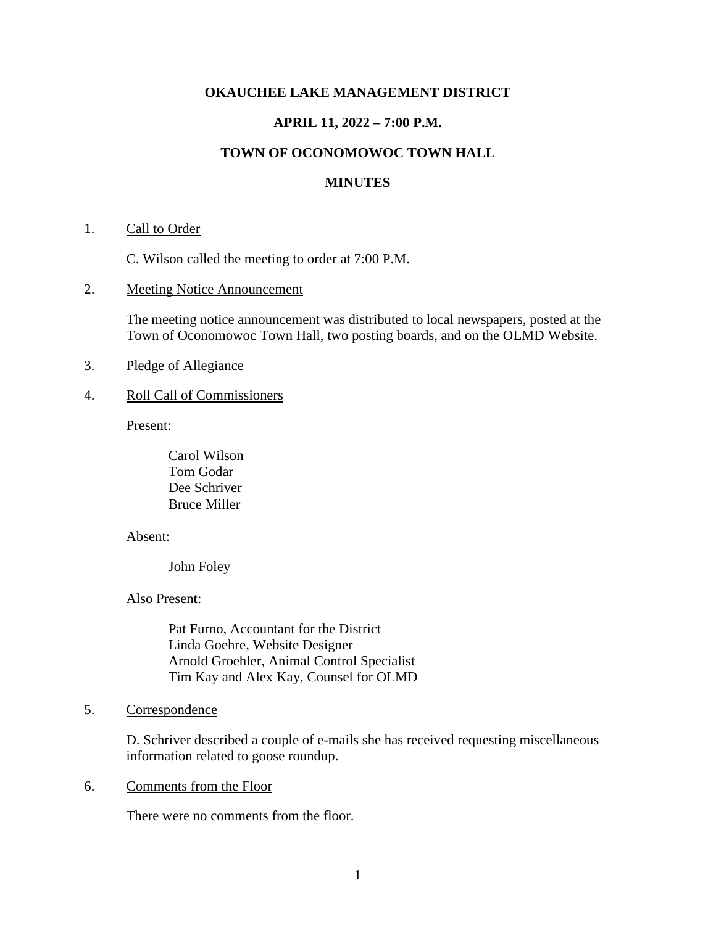### **OKAUCHEE LAKE MANAGEMENT DISTRICT**

## **APRIL 11, 2022 – 7:00 P.M.**

# **TOWN OF OCONOMOWOC TOWN HALL**

#### **MINUTES**

#### 1. Call to Order

C. Wilson called the meeting to order at 7:00 P.M.

2. Meeting Notice Announcement

The meeting notice announcement was distributed to local newspapers, posted at the Town of Oconomowoc Town Hall, two posting boards, and on the OLMD Website.

- 3. Pledge of Allegiance
- 4. Roll Call of Commissioners

Present:

Carol Wilson Tom Godar Dee Schriver Bruce Miller

Absent:

John Foley

Also Present:

Pat Furno, Accountant for the District Linda Goehre, Website Designer Arnold Groehler, Animal Control Specialist Tim Kay and Alex Kay, Counsel for OLMD

### 5. Correspondence

D. Schriver described a couple of e-mails she has received requesting miscellaneous information related to goose roundup.

#### 6. Comments from the Floor

There were no comments from the floor.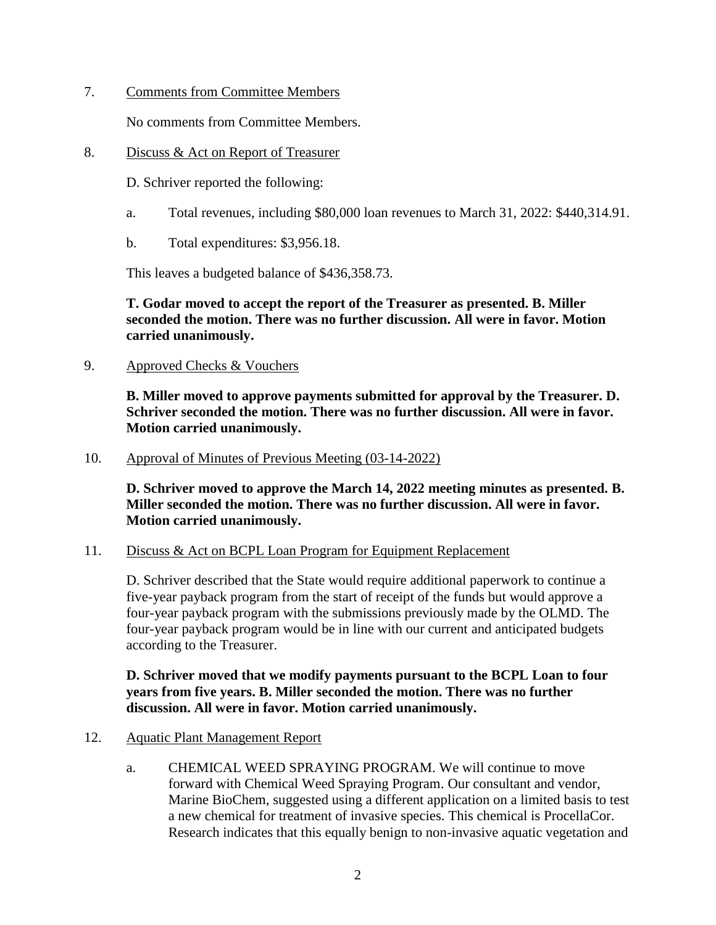7. Comments from Committee Members

No comments from Committee Members.

8. Discuss & Act on Report of Treasurer

D. Schriver reported the following:

- a. Total revenues, including \$80,000 loan revenues to March 31, 2022: \$440,314.91.
- b. Total expenditures: \$3,956.18.

This leaves a budgeted balance of \$436,358.73.

**T. Godar moved to accept the report of the Treasurer as presented. B. Miller seconded the motion. There was no further discussion. All were in favor. Motion carried unanimously.**

9. Approved Checks & Vouchers

**B. Miller moved to approve payments submitted for approval by the Treasurer. D. Schriver seconded the motion. There was no further discussion. All were in favor. Motion carried unanimously.**

10. Approval of Minutes of Previous Meeting (03-14-2022)

**D. Schriver moved to approve the March 14, 2022 meeting minutes as presented. B. Miller seconded the motion. There was no further discussion. All were in favor. Motion carried unanimously.**

## 11. Discuss & Act on BCPL Loan Program for Equipment Replacement

D. Schriver described that the State would require additional paperwork to continue a five-year payback program from the start of receipt of the funds but would approve a four-year payback program with the submissions previously made by the OLMD. The four-year payback program would be in line with our current and anticipated budgets according to the Treasurer.

# **D. Schriver moved that we modify payments pursuant to the BCPL Loan to four years from five years. B. Miller seconded the motion. There was no further discussion. All were in favor. Motion carried unanimously.**

- 12. Aquatic Plant Management Report
	- a. CHEMICAL WEED SPRAYING PROGRAM. We will continue to move forward with Chemical Weed Spraying Program. Our consultant and vendor, Marine BioChem, suggested using a different application on a limited basis to test a new chemical for treatment of invasive species. This chemical is ProcellaCor. Research indicates that this equally benign to non-invasive aquatic vegetation and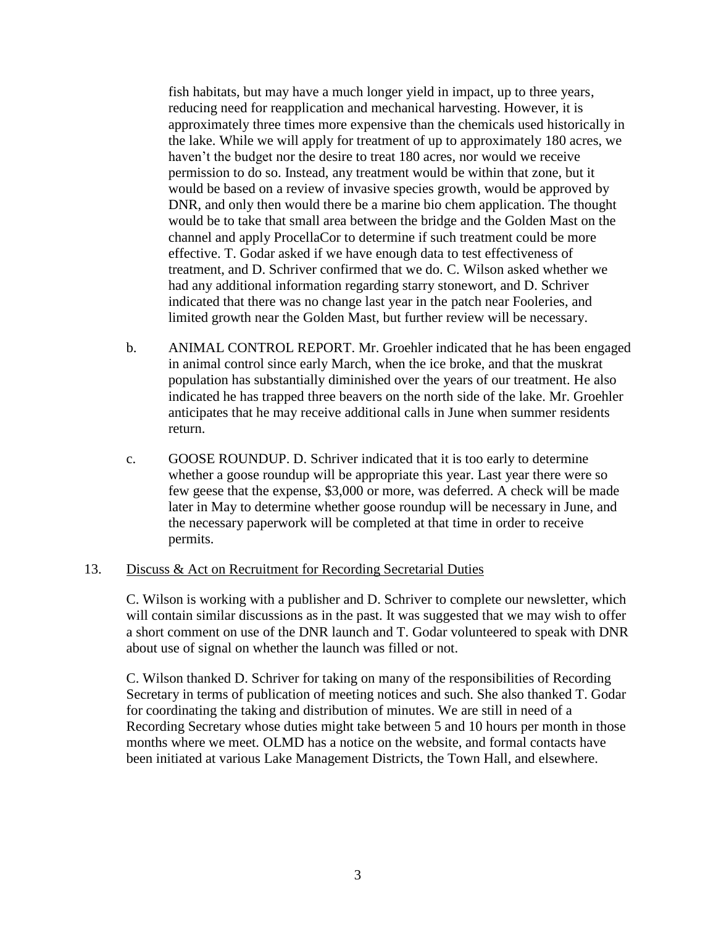fish habitats, but may have a much longer yield in impact, up to three years, reducing need for reapplication and mechanical harvesting. However, it is approximately three times more expensive than the chemicals used historically in the lake. While we will apply for treatment of up to approximately 180 acres, we haven't the budget nor the desire to treat 180 acres, nor would we receive permission to do so. Instead, any treatment would be within that zone, but it would be based on a review of invasive species growth, would be approved by DNR, and only then would there be a marine bio chem application. The thought would be to take that small area between the bridge and the Golden Mast on the channel and apply ProcellaCor to determine if such treatment could be more effective. T. Godar asked if we have enough data to test effectiveness of treatment, and D. Schriver confirmed that we do. C. Wilson asked whether we had any additional information regarding starry stonewort, and D. Schriver indicated that there was no change last year in the patch near Fooleries, and limited growth near the Golden Mast, but further review will be necessary.

- b. ANIMAL CONTROL REPORT. Mr. Groehler indicated that he has been engaged in animal control since early March, when the ice broke, and that the muskrat population has substantially diminished over the years of our treatment. He also indicated he has trapped three beavers on the north side of the lake. Mr. Groehler anticipates that he may receive additional calls in June when summer residents return.
- c. GOOSE ROUNDUP. D. Schriver indicated that it is too early to determine whether a goose roundup will be appropriate this year. Last year there were so few geese that the expense, \$3,000 or more, was deferred. A check will be made later in May to determine whether goose roundup will be necessary in June, and the necessary paperwork will be completed at that time in order to receive permits.

#### 13. Discuss & Act on Recruitment for Recording Secretarial Duties

C. Wilson is working with a publisher and D. Schriver to complete our newsletter, which will contain similar discussions as in the past. It was suggested that we may wish to offer a short comment on use of the DNR launch and T. Godar volunteered to speak with DNR about use of signal on whether the launch was filled or not.

C. Wilson thanked D. Schriver for taking on many of the responsibilities of Recording Secretary in terms of publication of meeting notices and such. She also thanked T. Godar for coordinating the taking and distribution of minutes. We are still in need of a Recording Secretary whose duties might take between 5 and 10 hours per month in those months where we meet. OLMD has a notice on the website, and formal contacts have been initiated at various Lake Management Districts, the Town Hall, and elsewhere.